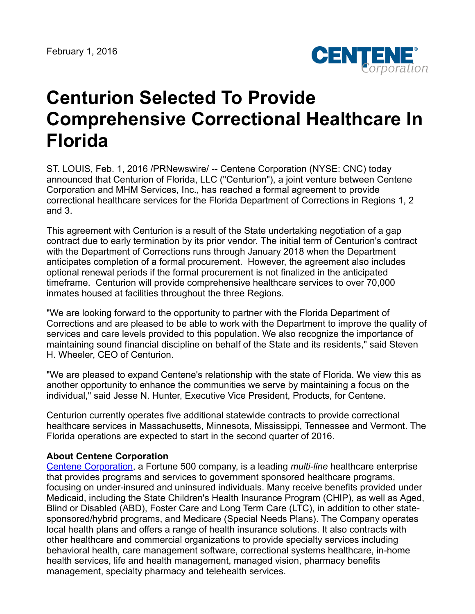

## **Centurion Selected To Provide Comprehensive Correctional Healthcare In Florida**

ST. LOUIS, Feb. 1, 2016 /PRNewswire/ -- Centene Corporation (NYSE: CNC) today announced that Centurion of Florida, LLC ("Centurion"), a joint venture between Centene Corporation and MHM Services, Inc., has reached a formal agreement to provide correctional healthcare services for the Florida Department of Corrections in Regions 1, 2 and 3.

This agreement with Centurion is a result of the State undertaking negotiation of a gap contract due to early termination by its prior vendor. The initial term of Centurion's contract with the Department of Corrections runs through January 2018 when the Department anticipates completion of a formal procurement. However, the agreement also includes optional renewal periods if the formal procurement is not finalized in the anticipated timeframe. Centurion will provide comprehensive healthcare services to over 70,000 inmates housed at facilities throughout the three Regions.

"We are looking forward to the opportunity to partner with the Florida Department of Corrections and are pleased to be able to work with the Department to improve the quality of services and care levels provided to this population. We also recognize the importance of maintaining sound financial discipline on behalf of the State and its residents," said Steven H. Wheeler, CEO of Centurion.

"We are pleased to expand Centene's relationship with the state of Florida. We view this as another opportunity to enhance the communities we serve by maintaining a focus on the individual," said Jesse N. Hunter, Executive Vice President, Products, for Centene.

Centurion currently operates five additional statewide contracts to provide correctional healthcare services in Massachusetts, Minnesota, Mississippi, Tennessee and Vermont. The Florida operations are expected to start in the second quarter of 2016.

## **About Centene Corporation**

[Centene Corporation,](http://www.centene.com/) a Fortune 500 company, is a leading *multi-line* healthcare enterprise that provides programs and services to government sponsored healthcare programs, focusing on under-insured and uninsured individuals. Many receive benefits provided under Medicaid, including the State Children's Health Insurance Program (CHIP), as well as Aged, Blind or Disabled (ABD), Foster Care and Long Term Care (LTC), in addition to other statesponsored/hybrid programs, and Medicare (Special Needs Plans). The Company operates local health plans and offers a range of health insurance solutions. It also contracts with other healthcare and commercial organizations to provide specialty services including behavioral health, care management software, correctional systems healthcare, in-home health services, life and health management, managed vision, pharmacy benefits management, specialty pharmacy and telehealth services.